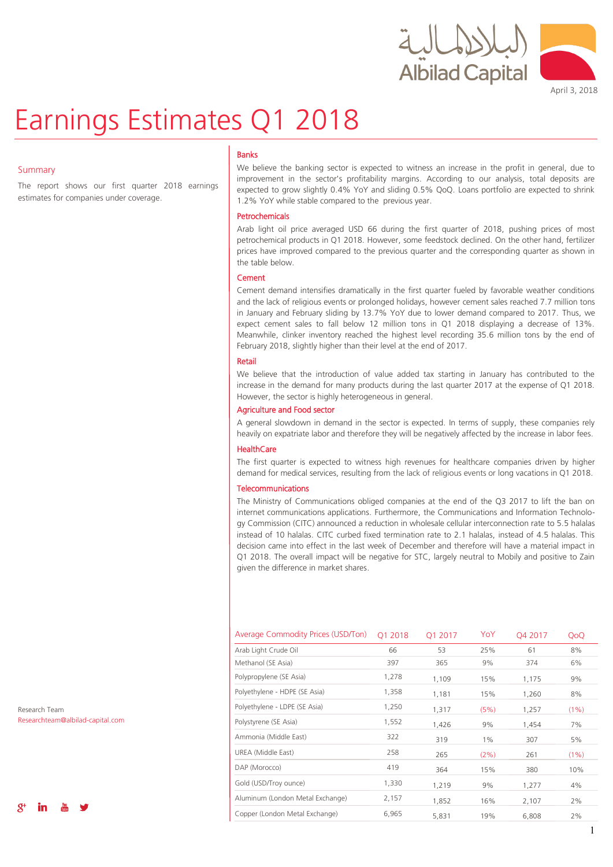



April 3, 2018

# Earnings Estimates Q1 2018

### Summary

The report shows our first quarter 2018 earnings estimates for companies under coverage.

### Banks

We believe the banking sector is expected to witness an increase in the profit in general, due to improvement in the sector's profitability margins. According to our analysis, total deposits are expected to grow slightly 0.4% YoY and sliding 0.5% QoQ. Loans portfolio are expected to shrink 1.2% YoY while stable compared to the previous year.

### Petrochemicals

Arab light oil price averaged USD 66 during the first quarter of 2018, pushing prices of most petrochemical products in Q1 2018. However, some feedstock declined. On the other hand, fertilizer prices have improved compared to the previous quarter and the corresponding quarter as shown in the table below.

### **Cement**

Cement demand intensifies dramatically in the first quarter fueled by favorable weather conditions and the lack of religious events or prolonged holidays, however cement sales reached 7.7 million tons in January and February sliding by 13.7% YoY due to lower demand compared to 2017. Thus, we expect cement sales to fall below 12 million tons in Q1 2018 displaying a decrease of 13%. Meanwhile, clinker inventory reached the highest level recording 35.6 million tons by the end of February 2018, slightly higher than their level at the end of 2017.

### Retail

We believe that the introduction of value added tax starting in January has contributed to the increase in the demand for many products during the last quarter 2017 at the expense of Q1 2018. However, the sector is highly heterogeneous in general.

### Agriculture and Food sector

A general slowdown in demand in the sector is expected. In terms of supply, these companies rely heavily on expatriate labor and therefore they will be negatively affected by the increase in labor fees.

### HealthCare

The first quarter is expected to witness high revenues for healthcare companies driven by higher demand for medical services, resulting from the lack of religious events or long vacations in Q1 2018.

### Telecommunications

The Ministry of Communications obliged companies at the end of the Q3 2017 to lift the ban on internet communications applications. Furthermore, the Communications and Information Technology Commission (CITC) announced a reduction in wholesale cellular interconnection rate to 5.5 halalas instead of 10 halalas. CITC curbed fixed termination rate to 2.1 halalas, instead of 4.5 halalas. This decision came into effect in the last week of December and therefore will have a material impact in Q1 2018. The overall impact will be negative for STC, largely neutral to Mobily and positive to Zain given the difference in market shares.

| Average Commodity Prices (USD/Ton) | Q1 2018 | 01 2017 | YoY   | Q4 2017 | QoQ  |
|------------------------------------|---------|---------|-------|---------|------|
| Arab Light Crude Oil               | 66      | 53      | 25%   | 61      | 8%   |
| Methanol (SE Asia)                 | 397     | 365     | 9%    | 374     | 6%   |
| Polypropylene (SE Asia)            | 1,278   | 1,109   | 15%   | 1,175   | 9%   |
| Polyethylene - HDPE (SE Asia)      | 1,358   | 1,181   | 15%   | 1,260   | 8%   |
| Polyethylene - LDPE (SE Asia)      | 1,250   | 1,317   | (5%)  | 1,257   | (1%) |
| Polystyrene (SE Asia)              | 1,552   | 1,426   | 9%    | 1,454   | 7%   |
| Ammonia (Middle East)              | 322     | 319     | $1\%$ | 307     | 5%   |
| UREA (Middle East)                 | 258     | 265     | (2%)  | 261     | (1%) |
| DAP (Morocco)                      | 419     | 364     | 15%   | 380     | 10%  |
| Gold (USD/Troy ounce)              | 1,330   | 1,219   | 9%    | 1,277   | 4%   |
| Aluminum (London Metal Exchange)   | 2,157   | 1,852   | 16%   | 2,107   | 2%   |
| Copper (London Metal Exchange)     | 6,965   | 5,831   | 19%   | 6,808   | 2%   |

Research Team Researchteam@albilad-capital.com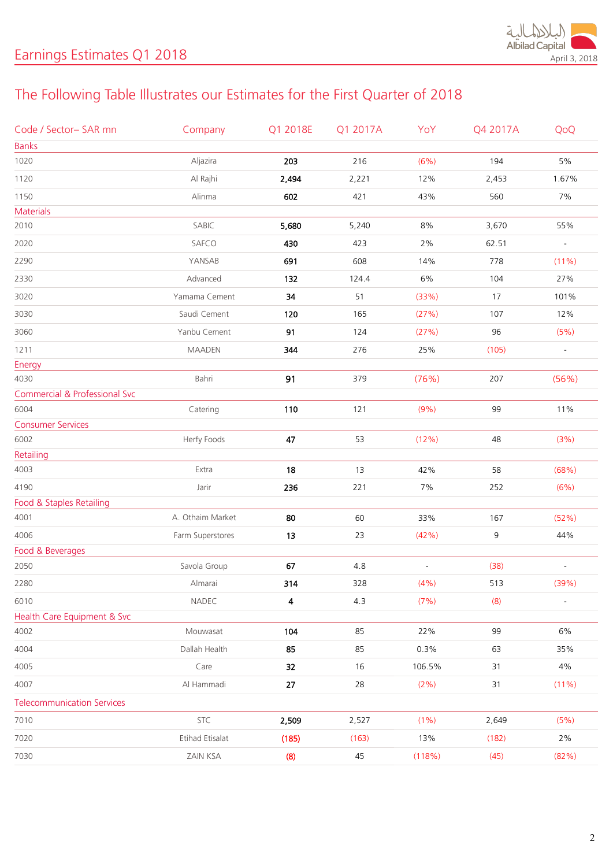

# The Following Table Illustrates our Estimates for the First Quarter of 2018

| Code / Sector-SAR mn                     | Company          | Q1 2018E | Q1 2017A | YoY                      | Q4 2017A | QoQ                      |
|------------------------------------------|------------------|----------|----------|--------------------------|----------|--------------------------|
| <b>Banks</b>                             |                  |          |          |                          |          |                          |
| 1020                                     | Aljazira         | 203      | 216      | (6%)                     | 194      | $5\%$                    |
| 1120                                     | Al Rajhi         | 2,494    | 2,221    | 12%                      | 2,453    | 1.67%                    |
| 1150                                     | Alinma           | 602      | 421      | 43%                      | 560      | 7%                       |
| Materials                                |                  |          |          |                          |          |                          |
| 2010                                     | SABIC            | 5,680    | 5,240    | $8\%$                    | 3,670    | 55%                      |
| 2020                                     | SAFCO            | 430      | 423      | 2%                       | 62.51    | $\overline{\phantom{a}}$ |
| 2290                                     | YANSAB           | 691      | 608      | 14%                      | 778      | (11%)                    |
| 2330                                     | Advanced         | 132      | 124.4    | $6\%$                    | 104      | 27%                      |
| 3020                                     | Yamama Cement    | 34       | 51       | (33%)                    | 17       | 101%                     |
| 3030                                     | Saudi Cement     | 120      | 165      | (27%)                    | 107      | 12%                      |
| 3060                                     | Yanbu Cement     | 91       | 124      | (27%)                    | 96       | (5%)                     |
| 1211                                     | <b>MAADEN</b>    | 344      | 276      | 25%                      | (105)    |                          |
| Energy                                   |                  |          |          |                          |          |                          |
| 4030                                     | Bahri            | 91       | 379      | (76%)                    | 207      | (56%)                    |
| <b>Commercial &amp; Professional Svc</b> |                  |          |          |                          |          |                          |
| 6004                                     | Catering         | 110      | 121      | (9%)                     | 99       | 11%                      |
| <b>Consumer Services</b>                 |                  |          |          |                          |          |                          |
| 6002                                     | Herfy Foods      | 47       | 53       | (12%)                    | 48       | (3%)                     |
| Retailing                                |                  |          |          |                          |          |                          |
| 4003                                     | Extra            | 18       | 13       | 42%                      | 58       | (68%)                    |
| 4190                                     | Jarir            | 236      | 221      | 7%                       | 252      | (6%)                     |
| Food & Staples Retailing                 |                  |          |          |                          |          |                          |
| 4001                                     | A. Othaim Market | 80       | 60       | 33%                      | 167      | (52%)                    |
| 4006                                     | Farm Superstores | 13       | 23       | (42%)                    | 9        | 44%                      |
| Food & Beverages                         |                  |          |          |                          |          |                          |
| 2050                                     | Savola Group     | 67       | 4.8      | $\overline{\phantom{a}}$ | (38)     |                          |
| 2280                                     | Almarai          | 314      | 328      | (4% )                    | 513      | (39%)                    |
| 6010                                     | NADEC            | 4        | 4.3      | (7%)                     | (8)      | $\bar{\mathcal{L}}$      |
| Health Care Equipment & Svc              |                  |          |          |                          |          |                          |
| 4002                                     | Mouwasat         | 104      | 85       | 22%                      | 99       | 6%                       |
| 4004                                     | Dallah Health    | 85       | 85       | 0.3%                     | 63       | 35%                      |
| 4005                                     | Care             | 32       | 16       | 106.5%                   | 31       | 4%                       |
| 4007                                     | Al Hammadi       | 27       | 28       | (2%)                     | 31       | $(11\%)$                 |
| <b>Telecommunication Services</b>        |                  |          |          |                          |          |                          |
| 7010                                     | <b>STC</b>       | 2,509    | 2,527    | $(1\%)$                  | 2,649    | (5%)                     |
| 7020                                     | Etihad Etisalat  | (185)    | (163)    | 13%                      | (182)    | $2\%$                    |
| 7030                                     | ZAIN KSA         | (8)      | 45       | (118%)                   | (45)     | (82%)                    |
|                                          |                  |          |          |                          |          |                          |